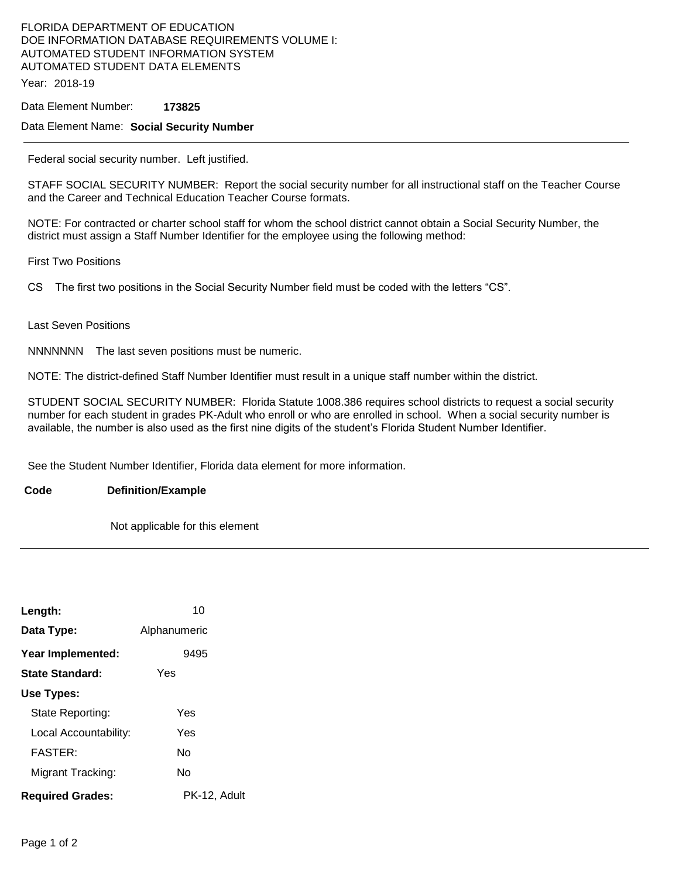# FLORIDA DEPARTMENT OF EDUCATION DOE INFORMATION DATABASE REQUIREMENTS VOLUME I: AUTOMATED STUDENT INFORMATION SYSTEM AUTOMATED STUDENT DATA ELEMENTS

Year: 2018-19

Data Element Number: **173825** 

#### Data Element Name: **Social Security Number**

Federal social security number. Left justified.

STAFF SOCIAL SECURITY NUMBER: Report the social security number for all instructional staff on the Teacher Course and the Career and Technical Education Teacher Course formats.

NOTE: For contracted or charter school staff for whom the school district cannot obtain a Social Security Number, the district must assign a Staff Number Identifier for the employee using the following method:

First Two Positions

CS The first two positions in the Social Security Number field must be coded with the letters "CS".

#### Last Seven Positions

NNNNNNN The last seven positions must be numeric.

NOTE: The district-defined Staff Number Identifier must result in a unique staff number within the district.

STUDENT SOCIAL SECURITY NUMBER: Florida Statute 1008.386 requires school districts to request a social security number for each student in grades PK-Adult who enroll or who are enrolled in school. When a social security number is available, the number is also used as the first nine digits of the student's Florida Student Number Identifier.

See the Student Number Identifier, Florida data element for more information.

### **Code Definition/Example**

Not applicable for this element

| Length:                 | 10           |
|-------------------------|--------------|
| Data Type:              | Alphanumeric |
| Year Implemented:       | 9495         |
| <b>State Standard:</b>  | Yes          |
| Use Types:              |              |
| State Reporting:        | Yes          |
| Local Accountability:   | Yes          |
| <b>FASTER:</b>          | N٥           |
| Migrant Tracking:       | N٥           |
| <b>Required Grades:</b> | PK-12, Adult |